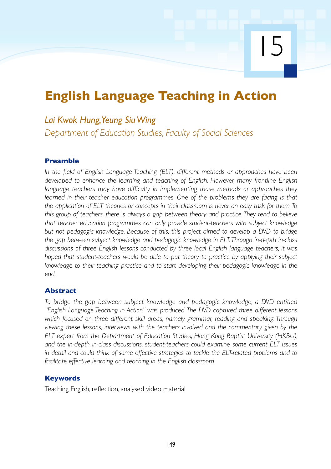15

# **English Language Teaching in Action**

## *Lai Kwok Hung, Yeung Siu Wing*

*Department of Education Studies, Faculty of Social Sciences*

## **Preamble**

*In the field of English Language Teaching (ELT), different methods or approaches have been developed to enhance the learning and teaching of English. However, many frontline English language teachers may have difficulty in implementing those methods or approaches they learned in their teacher education programmes. One of the problems they are facing is that the application of ELT theories or concepts in their classroom is never an easy task for them.To this group of teachers, there is always a gap between theory and practice.They tend to believe that teacher education programmes can only provide student-teachers with subject knowledge but not pedagogic knowledge. Because of this, this project aimed to develop a DVD to bridge the gap between subject knowledge and pedagogic knowledge in ELT.Through in-depth in-class discussions of three English lessons conducted by three local English language teachers, it was hoped that student-teachers would be able to put theory to practice by applying their subject knowledge to their teaching practice and to start developing their pedagogic knowledge in the end.*

## **Abstract**

*To bridge the gap between subject knowledge and pedagogic knowledge, a DVD entitled "English Language Teaching in Action" was produced. The DVD captured three different lessons which focused on three different skill areas, namely grammar, reading and speaking. Through viewing these lessons, interviews with the teachers involved and the commentary given by the ELT expert from the Department of Education Studies, Hong Kong Baptist University (HKBU), and the in-depth in-class discussions, student-teachers could examine some current ELT issues in detail and could think of some effective strategies to tackle the ELT-related problems and to facilitate effective learning and teaching in the English classroom.*

## **Keywords**

Teaching English, reflection, analysed video material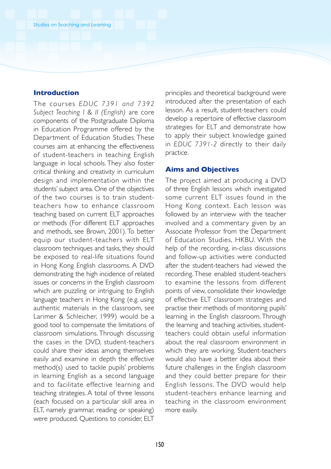#### **Introduction**

The courses *EDUC 7391 and 7392 Subject Teaching I & II (English)* are core components of the Postgraduate Diploma in Education Programme offered by the Department of Education Studies. These courses aim at enhancing the effectiveness of student-teachers in teaching English language in local schools. They also foster critical thinking and creativity in curriculum design and implementation within the students' subject area. One of the objectives of the two courses is to train studentteachers how to enhance classroom teaching based on current ELT approaches or methods (For different ELT approaches and methods, see Brown, 2001). To better equip our student-teachers with ELT classroom techniques and tasks, they should be exposed to real-life situations found in Hong Kong English classrooms. A DVD demonstrating the high incidence of related issues or concerns in the English classroom which are puzzling or intriguing to English language teachers in Hong Kong (e.g. using authentic materials in the classroom, see Larimer & Schleicher, 1999) would be a good tool to compensate the limitations of classroom simulations. Through discussing the cases in the DVD, student-teachers could share their ideas among themselves easily and examine in depth the effective method(s) used to tackle pupils' problems in learning English as a second language and to facilitate effective learning and teaching strategies. A total of three lessons (each focused on a particular skill area in ELT, namely grammar, reading or speaking) were produced. Questions to consider, ELT principles and theoretical background were introduced after the presentation of each lesson. As a result, student-teachers could develop a repertoire of effective classroom strategies for ELT and demonstrate how to apply their subject knowledge gained in *EDUC 7391-2* directly to their daily practice.

#### **Aims and Objectives**

The project aimed at producing a DVD of three English lessons which investigated some current ELT issues found in the Hong Kong context. Each lesson was followed by an interview with the teacher involved and a commentary given by an Associate Professor from the Department of Education Studies, HKBU. With the help of the recording, in-class discussions and follow-up activities were conducted after the student-teachers had viewed the recording. These enabled student-teachers to examine the lessons from different points of view, consolidate their knowledge of effective ELT classroom strategies and practise their methods of monitoring pupils' learning in the English classroom. Through the learning and teaching activities, studentteachers could obtain useful information about the real classroom environment in which they are working. Student-teachers would also have a better idea about their future challenges in the English classroom and they could better prepare for their English lessons. The DVD would help student-teachers enhance learning and teaching in the classroom environment more easily.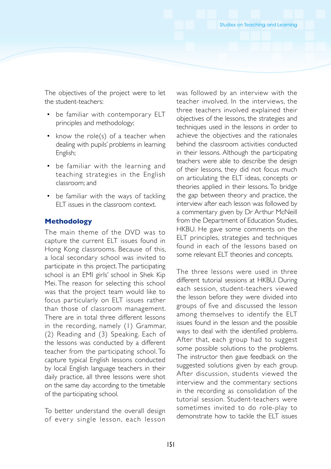The objectives of the project were to let the student-teachers:

- be familiar with contemporary ELT principles and methodology;
- know the role(s) of a teacher when dealing with pupils' problems in learning English;
- be familiar with the learning and teaching strategies in the English classroom; and
- be familiar with the ways of tackling ELT issues in the classroom context.

### **Methodology**

The main theme of the DVD was to capture the current ELT issues found in Hong Kong classrooms. Because of this, a local secondary school was invited to participate in this project. The participating school is an EMI girls' school in Shek Kip Mei. The reason for selecting this school was that the project team would like to focus particularly on ELT issues rather than those of classroom management. There are in total three different lessons in the recording, namely (1) Grammar, (2) Reading and (3) Speaking. Each of the lessons was conducted by a different teacher from the participating school. To capture typical English lessons conducted by local English language teachers in their daily practice, all three lessons were shot on the same day according to the timetable of the participating school.

To better understand the overall design of every single lesson, each lesson was followed by an interview with the teacher involved. In the interviews, the three teachers involved explained their objectives of the lessons, the strategies and techniques used in the lessons in order to achieve the objectives and the rationales behind the classroom activities conducted in their lessons. Although the participating teachers were able to describe the design of their lessons, they did not focus much on articulating the ELT ideas, concepts or theories applied in their lessons. To bridge the gap between theory and practice, the interview after each lesson was followed by a commentary given by Dr Arthur McNeill from the Department of Education Studies, HKBU. He gave some comments on the ELT principles, strategies and techniques found in each of the lessons based on some relevant ELT theories and concepts.

The three lessons were used in three different tutorial sessions at HKBU. During each session, student-teachers viewed the lesson before they were divided into groups of five and discussed the lesson among themselves to identify the ELT issues found in the lesson and the possible ways to deal with the identified problems. After that, each group had to suggest some possible solutions to the problems. The instructor then gave feedback on the suggested solutions given by each group. After discussion, students viewed the interview and the commentary sections in the recording as consolidation of the tutorial session. Student-teachers were sometimes invited to do role-play to demonstrate how to tackle the ELT issues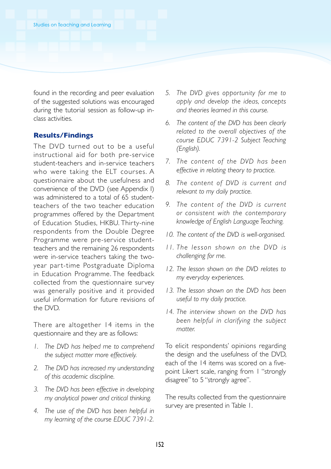found in the recording and peer evaluation of the suggested solutions was encouraged during the tutorial session as follow-up inclass activities.

#### **Results/Findings**

The DVD turned out to be a useful instructional aid for both pre-service student-teachers and in-service teachers who were taking the ELT courses. A questionnaire about the usefulness and convenience of the DVD (see Appendix I) was administered to a total of 65 studentteachers of the two teacher education programmes offered by the Department of Education Studies, HKBU. Thirty-nine respondents from the Double Degree Programme were pre-service studentteachers and the remaining 26 respondents were in-service teachers taking the twoyear part-time Postgraduate Diploma in Education Programme. The feedback collected from the questionnaire survey was generally positive and it provided useful information for future revisions of the DVD.

There are altogether 14 items in the questionnaire and they are as follows:

- *1. The DVD has helped me to comprehend the subject matter more effectively.*
- *2. The DVD has increased my understanding of this academic discipline.*
- *3. The DVD has been effective in developing my analytical power and critical thinking.*
- *4. The use of the DVD has been helpful in my learning of the course EDUC 7391-2.*
- *5. The DVD gives opportunity for me to apply and develop the ideas, concepts and theories learned in this course.*
- *6. The content of the DVD has been clearly related to the overall objectives of the course EDUC 7391-2 Subject Teaching (English).*
- *7. The content of the DVD has been effective in relating theory to practice.*
- *8. The content of DVD is current and relevant to my daily practice.*
- *9. The content of the DVD is current or consistent with the contemporar y knowledge of English Language Teaching.*
- *10. The content of the DVD is well-organised.*
- *11. The le s son shown on the DVD i s challenging for me.*
- *12. The lesson shown on the DVD relates to my everyday experiences.*
- *13. The lesson shown on the DVD has been useful to my daily practice.*
- *14. The inter view shown on the DVD has been helpful in clarifying the subject matter.*

To elicit respondents' opinions regarding the design and the usefulness of the DVD, each of the 14 items was scored on a fivepoint Likert scale, ranging from 1 "strongly disagree" to 5 "strongly agree".

The results collected from the questionnaire survey are presented in Table 1.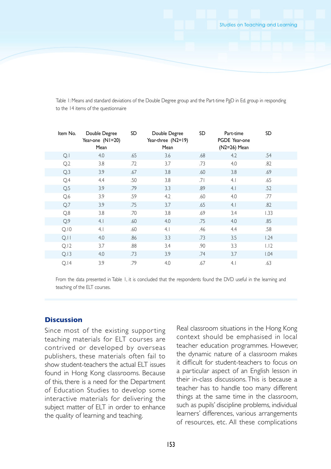Table 1: Means and standard deviations of the Double Degree group and the Part-time PgD in Ed. group in responding to the 14 items of the questionnaire

| Item No.       | Double Degree<br>Year-one (N1=20)<br>Mean | SD  | Double Degree<br>Year-three (N2=19)<br>Mean | SD  | Part-time<br>PGDE Year-one<br>(N2=26) Mean | SD   |  |
|----------------|-------------------------------------------|-----|---------------------------------------------|-----|--------------------------------------------|------|--|
| Q.1            | 4.0                                       | .65 | 3.6                                         | .68 | 4.2                                        | .54  |  |
| Q.2            | 3.8                                       | .72 | 3.7                                         | .73 | 4.0                                        | .82  |  |
| Q.3            | 3.9                                       | .67 | 3.8                                         | .60 | 3.8                                        | .69  |  |
| Q.4            | 4.4                                       | .50 | 3.8                                         | .71 | 4.1                                        | .65  |  |
| Q.5            | 3.9                                       | .79 | 3.3                                         | .89 | 4.1                                        | .52  |  |
| Q.6            | 3.9                                       | .59 | 4.2                                         | .60 | 4.0                                        | .77  |  |
| Q <sub>i</sub> | 3.9                                       | .75 | 3.7                                         | .65 | 4.1                                        | .82  |  |
| Q.8            | 3.8                                       | .70 | 3.8                                         | .69 | 3.4                                        | 1.33 |  |
| Q.9            | 4.1                                       | .60 | 4.0                                         | .75 | 4.0                                        | .85  |  |
| Q.10           | 4.1                                       | .60 | 4.1                                         | .46 | 4.4                                        | .58  |  |
| Q.11           | 4.0                                       | .86 | 3.3                                         | .73 | 3.5                                        | 1.24 |  |
| Q.12           | 3.7                                       | .88 | 3.4                                         | .90 | 3.3                                        | 1.12 |  |
| Q.13           | 4.0                                       | .73 | 3.9                                         | .74 | 3.7                                        | 1.04 |  |
| Q.14           | 3.9                                       | .79 | 4.0                                         | .67 | 4.1                                        | .63  |  |

From the data presented in Table 1, it is concluded that the respondents found the DVD useful in the learning and teaching of the ELT courses.

## **Discussion**

Since most of the existing supporting teaching materials for ELT courses are contrived or developed by overseas publishers, these materials often fail to show student-teachers the actual ELT issues found in Hong Kong classrooms. Because of this, there is a need for the Department of Education Studies to develop some interactive materials for delivering the subject matter of ELT in order to enhance the quality of learning and teaching.

Real classroom situations in the Hong Kong context should be emphasised in local teacher education programmes. However, the dynamic nature of a classroom makes it difficult for student-teachers to focus on a particular aspect of an English lesson in their in-class discussions. This is because a teacher has to handle too many different things at the same time in the classroom, such as pupils' discipline problems, individual learners' differences, various arrangements of resources, etc. All these complications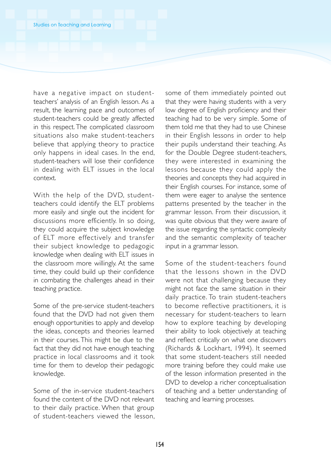have a negative impact on studentteachers' analysis of an English lesson. As a result, the learning pace and outcomes of student-teachers could be greatly affected in this respect. The complicated classroom situations also make student-teachers believe that applying theory to practice only happens in ideal cases. In the end, student-teachers will lose their confidence in dealing with ELT issues in the local context.

With the help of the DVD, studentteachers could identify the ELT problems more easily and single out the incident for discussions more efficiently. In so doing, they could acquire the subject knowledge of ELT more effectively and transfer their subject knowledge to pedagogic knowledge when dealing with ELT issues in the classroom more willingly. At the same time, they could build up their confidence in combating the challenges ahead in their teaching practice.

Some of the pre-service student-teachers found that the DVD had not given them enough opportunities to apply and develop the ideas, concepts and theories learned in their courses. This might be due to the fact that they did not have enough teaching practice in local classrooms and it took time for them to develop their pedagogic knowledge.

Some of the in-service student-teachers found the content of the DVD not relevant to their daily practice. When that group of student-teachers viewed the lesson,

some of them immediately pointed out that they were having students with a very low degree of English proficiency and their teaching had to be very simple. Some of them told me that they had to use Chinese in their English lessons in order to help their pupils understand their teaching. As for the Double Degree student-teachers, they were interested in examining the lessons because they could apply the theories and concepts they had acquired in their English courses. For instance, some of them were eager to analyse the sentence patterns presented by the teacher in the grammar lesson. From their discussion, it was quite obvious that they were aware of the issue regarding the syntactic complexity and the semantic complexity of teacher input in a grammar lesson.

Some of the student-teachers found that the lessons shown in the DVD were not that challenging because they might not face the same situation in their daily practice. To train student-teachers to become reflective practitioners, it is necessary for student-teachers to learn how to explore teaching by developing their ability to look objectively at teaching and reflect critically on what one discovers (Richards & Lockhart, 1994). It seemed that some student-teachers still needed more training before they could make use of the lesson information presented in the DVD to develop a richer conceptualisation of teaching and a better understanding of teaching and learning processes.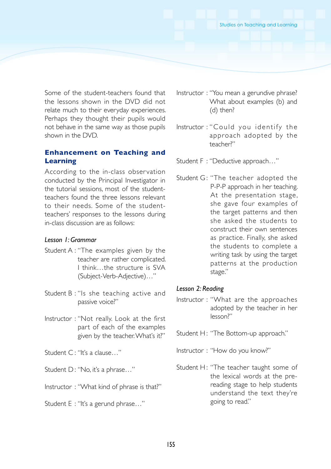Some of the student-teachers found that the lessons shown in the DVD did not relate much to their everyday experiences. Perhaps they thought their pupils would not behave in the same way as those pupils shown in the DVD.

## **Enhancement on Teaching and Learning**

According to the in-class observation conducted by the Principal Investigator in the tutorial sessions, most of the studentteachers found the three lessons relevant to their needs. Some of the studentteachers' responses to the lessons during in-class discussion are as follows:

## *Lesson 1: Grammar*

- Student A : "The examples given by the teacher are rather complicated. I think…the structure is SVA (Subject-Verb-Adjective)…"
- Student B : "Is she teaching active and passive voice?"
- Instructor : "Not really. Look at the first part of each of the examples given by the teacher. What's it?"
- Student C: "It's a clause..."
- Student D: "No, it's a phrase..."
- Instructor : "What kind of phrase is that?"
- Student E : "It's a gerund phrase…"
- Instructor : "You mean a gerundive phrase? What about examples (b) and (d) then?
- Instructor : "Could you identify the approach adopted by the teacher?"
- Student F : "Deductive approach…"
- Student G: "The teacher adopted the P-P-P approach in her teaching. At the presentation stage, she gave four examples of the target patterns and then she asked the students to construct their own sentences as practice. Finally, she asked the students to complete a writing task by using the target patterns at the production stage."

#### *Lesson 2: Reading*

- Instructor : "What are the approaches adopted by the teacher in her lesson?"
- Student H: "The Bottom-up approach."
- Instructor : "How do you know?"
- Student H: "The teacher taught some of the lexical words at the prereading stage to help students understand the text they're going to read."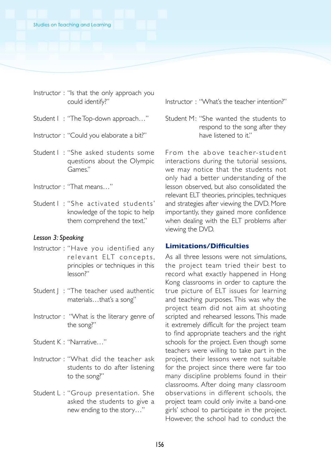- Instructor : "Is that the only approach you could identify?"
- Student I : "The Top-down approach…"
- Instructor : "Could you elaborate a bit?"
- Student I : "She asked students some questions about the Olympic Games."
- Instructor : "That means…"
- Student I: "She activated students' knowledge of the topic to help them comprehend the text."

#### *Lesson 3: Speaking*

- Instructor : "Have you identified any relevant ELT concepts, principles or techniques in this lesson?"
- Student | : "The teacher used authentic materials…that's a song"
- Instructor : "What is the literary genre of the song?"
- Student K : "Narrative…"
- Instructor : "What did the teacher ask students to do after listening to the song?"
- Student L : "Group presentation. She asked the students to give a new ending to the story…"

Instructor : "What's the teacher intention?"

Student M: "She wanted the students to respond to the song after they have listened to it."

From the above teacher-student interactions during the tutorial sessions, we may notice that the students not only had a better understanding of the lesson observed, but also consolidated the relevant ELT theories, principles, techniques and strategies after viewing the DVD. More importantly, they gained more confidence when dealing with the ELT problems after viewing the DVD.

## **Limitations/Difficulties**

As all three lessons were not simulations, the project team tried their best to record what exactly happened in Hong Kong classrooms in order to capture the true picture of ELT issues for learning and teaching purposes. This was why the project team did not aim at shooting scripted and rehearsed lessons. This made it extremely difficult for the project team to find appropriate teachers and the right schools for the project. Even though some teachers were willing to take part in the project, their lessons were not suitable for the project since there were far too many discipline problems found in their classrooms. After doing many classroom observations in different schools, the project team could only invite a band-one girls' school to participate in the project. However, the school had to conduct the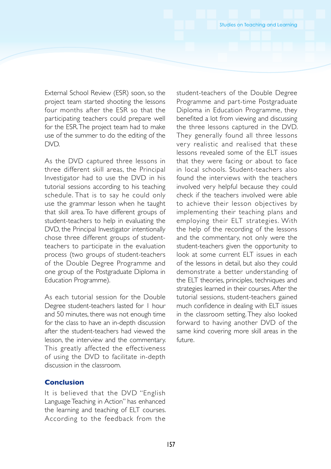External School Review (ESR) soon, so the project team started shooting the lessons four months after the ESR so that the participating teachers could prepare well for the ESR. The project team had to make use of the summer to do the editing of the DVD.

As the DVD captured three lessons in three different skill areas, the Principal Investigator had to use the DVD in his tutorial sessions according to his teaching schedule. That is to say he could only use the grammar lesson when he taught that skill area. To have different groups of student-teachers to help in evaluating the DVD, the Principal Investigator intentionally chose three different groups of studentteachers to participate in the evaluation process (two groups of student-teachers of the Double Degree Programme and one group of the Postgraduate Diploma in Education Programme).

As each tutorial session for the Double Degree student-teachers lasted for 1 hour and 50 minutes, there was not enough time for the class to have an in-depth discussion after the student-teachers had viewed the lesson, the interview and the commentary. This greatly affected the effectiveness of using the DVD to facilitate in-depth discussion in the classroom.

## **Conclusion**

It is believed that the DVD "English Language Teaching in Action" has enhanced the learning and teaching of ELT courses. According to the feedback from the

student-teachers of the Double Degree Programme and part-time Postgraduate Diploma in Education Programme, they benefited a lot from viewing and discussing the three lessons captured in the DVD. They generally found all three lessons very realistic and realised that these lessons revealed some of the ELT issues that they were facing or about to face in local schools. Student-teachers also found the interviews with the teachers involved very helpful because they could check if the teachers involved were able to achieve their lesson objectives by implementing their teaching plans and employing their ELT strategies. With the help of the recording of the lessons and the commentary, not only were the student-teachers given the opportunity to look at some current ELT issues in each of the lessons in detail, but also they could demonstrate a better understanding of the ELT theories, principles, techniques and strategies learned in their courses. After the tutorial sessions, student-teachers gained much confidence in dealing with ELT issues in the classroom setting. They also looked forward to having another DVD of the same kind covering more skill areas in the future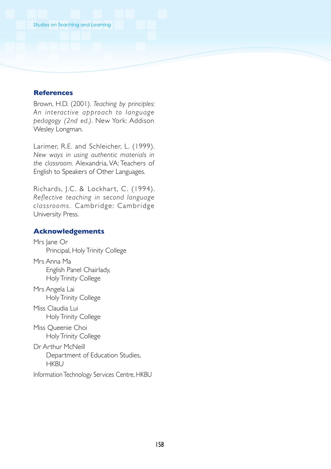#### **References**

Brown, H.D. (2001). *Teaching by principles:* An *interactive* approach to language *pedagogy (2nd ed.)*. New York: Addison Wesley Longman.

Larimer, R.E. and Schleicher, L. (1999). *New ways in using authentic materials in the classroom.* Alexandria, VA: Teachers of English to Speakers of Other Languages.

Richards, J.C. & Lockhart, C. (1994). *Reflective teaching in second language c la s sroom s .* Cambridge: Cambridge University Press.

#### **Acknowledgements**

Mrs Jane Or Principal, Holy Trinity College Mrs Anna Ma English Panel Chairlady, Holy Trinity College Mrs Angela Lai Holy Trinity College Miss Claudia Lui Holy Trinity College Miss Queenie Choi Holy Trinity College Dr Arthur McNeill Department of Education Studies, **HKBU** Information Technology Services Centre, HKBU